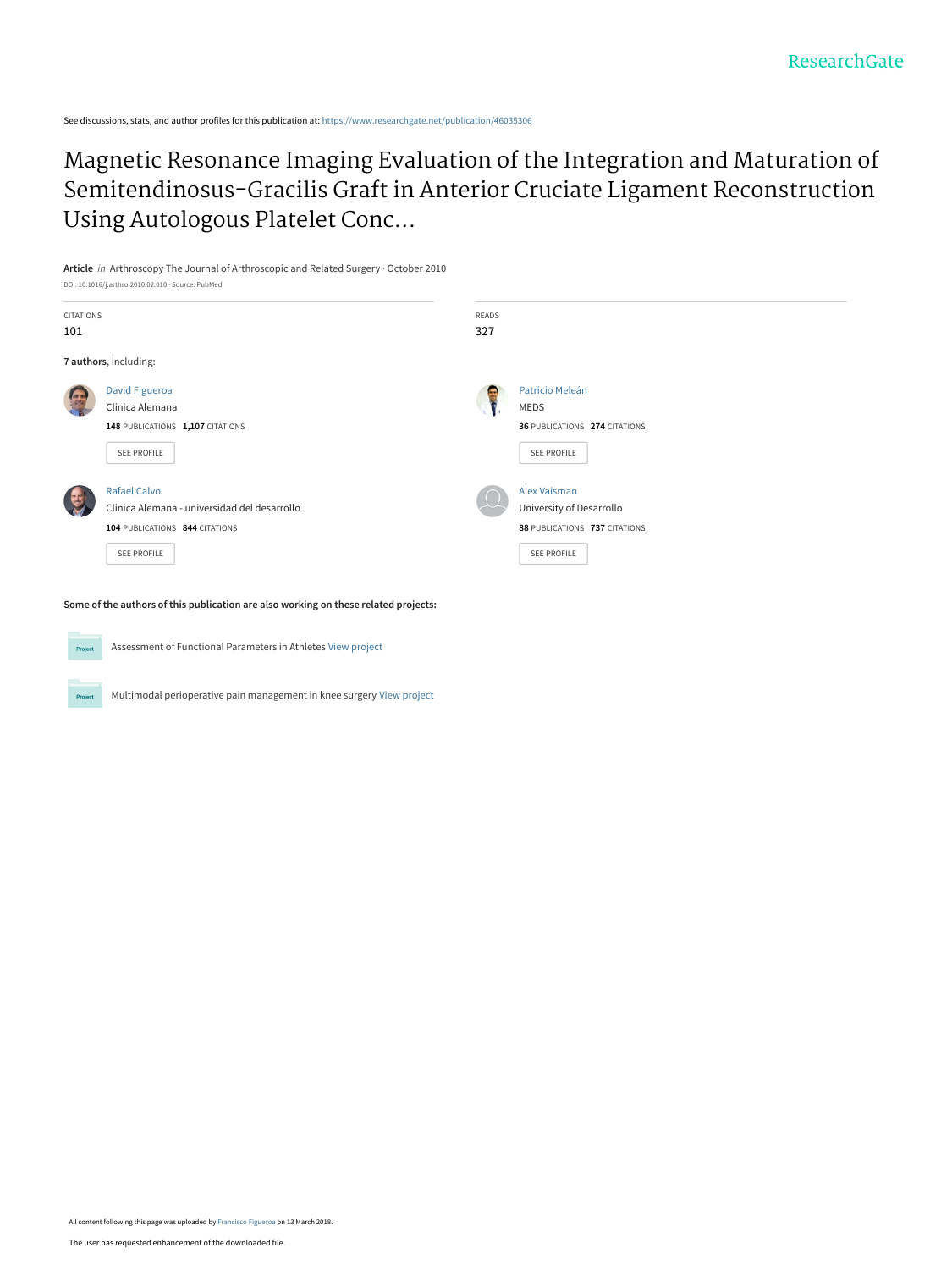See discussions, stats, and author profiles for this publication at: [https://www.researchgate.net/publication/46035306](https://www.researchgate.net/publication/46035306_Magnetic_Resonance_Imaging_Evaluation_of_the_Integration_and_Maturation_of_Semitendinosus-Gracilis_Graft_in_Anterior_Cruciate_Ligament_Reconstruction_Using_Autologous_Platelet_Concentrate?enrichId=rgreq-b99c378441430e71e945f6c33c92b38a-XXX&enrichSource=Y292ZXJQYWdlOzQ2MDM1MzA2O0FTOjYwMzc1MzIxMjI5NzIyMUAxNTIwOTU3MzkxNzY3&el=1_x_2&_esc=publicationCoverPdf)

[Magnetic Resonance Imaging Evaluation of the Integration and Maturation of](https://www.researchgate.net/publication/46035306_Magnetic_Resonance_Imaging_Evaluation_of_the_Integration_and_Maturation_of_Semitendinosus-Gracilis_Graft_in_Anterior_Cruciate_Ligament_Reconstruction_Using_Autologous_Platelet_Concentrate?enrichId=rgreq-b99c378441430e71e945f6c33c92b38a-XXX&enrichSource=Y292ZXJQYWdlOzQ2MDM1MzA2O0FTOjYwMzc1MzIxMjI5NzIyMUAxNTIwOTU3MzkxNzY3&el=1_x_3&_esc=publicationCoverPdf) Semitendinosus-Gracilis Graft in Anterior Cruciate Ligament Reconstruction Using Autologous Platelet Conc...

**Article** in Arthroscopy The Journal of Arthroscopic and Related Surgery · October 2010 DOI: 10.1016/j.arthro.2010.02.010 · Source: PubMed



**Some of the authors of this publication are also working on these related projects:**



Project

Assessment of Functional Parameters in Athletes [View project](https://www.researchgate.net/project/Assessment-of-Functional-Parameters-in-Athletes?enrichId=rgreq-b99c378441430e71e945f6c33c92b38a-XXX&enrichSource=Y292ZXJQYWdlOzQ2MDM1MzA2O0FTOjYwMzc1MzIxMjI5NzIyMUAxNTIwOTU3MzkxNzY3&el=1_x_9&_esc=publicationCoverPdf)

Multimodal perioperative pain management in knee surgery [View project](https://www.researchgate.net/project/Multimodal-perioperative-pain-management-in-knee-surgery?enrichId=rgreq-b99c378441430e71e945f6c33c92b38a-XXX&enrichSource=Y292ZXJQYWdlOzQ2MDM1MzA2O0FTOjYwMzc1MzIxMjI5NzIyMUAxNTIwOTU3MzkxNzY3&el=1_x_9&_esc=publicationCoverPdf)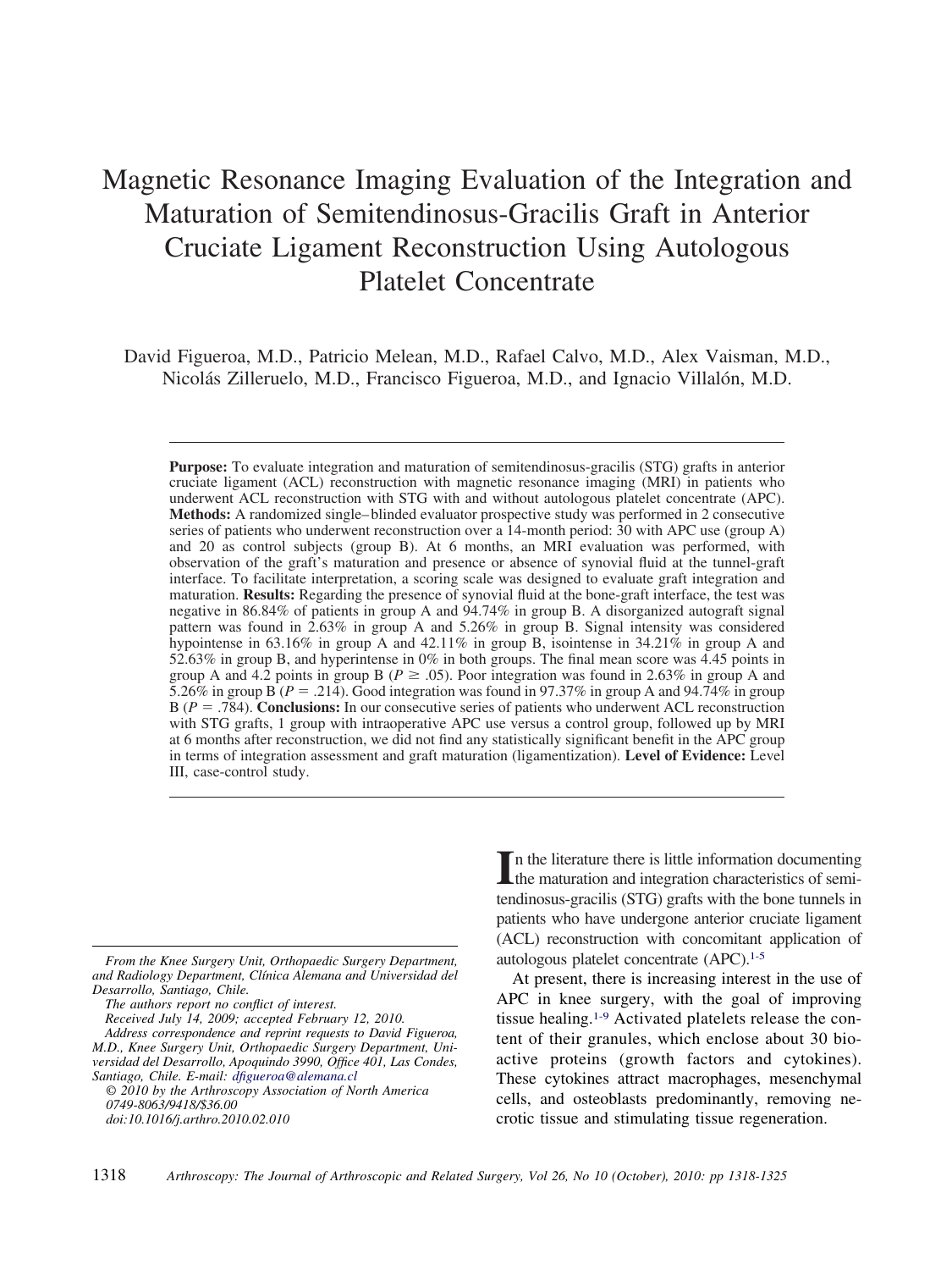# Magnetic Resonance Imaging Evaluation of the Integration and Maturation of Semitendinosus-Gracilis Graft in Anterior Cruciate Ligament Reconstruction Using Autologous Platelet Concentrate

David Figueroa, M.D., Patricio Melean, M.D., Rafael Calvo, M.D., Alex Vaisman, M.D., Nicolás Zilleruelo, M.D., Francisco Figueroa, M.D., and Ignacio Villalón, M.D.

**Purpose:** To evaluate integration and maturation of semitendinosus-gracilis (STG) grafts in anterior cruciate ligament (ACL) reconstruction with magnetic resonance imaging (MRI) in patients who underwent ACL reconstruction with STG with and without autologous platelet concentrate (APC). **Methods:** A randomized single–blinded evaluator prospective study was performed in 2 consecutive series of patients who underwent reconstruction over a 14-month period: 30 with APC use (group A) and 20 as control subjects (group B). At 6 months, an MRI evaluation was performed, with observation of the graft's maturation and presence or absence of synovial fluid at the tunnel-graft interface. To facilitate interpretation, a scoring scale was designed to evaluate graft integration and maturation. **Results:** Regarding the presence of synovial fluid at the bone-graft interface, the test was negative in 86.84% of patients in group A and 94.74% in group B. A disorganized autograft signal pattern was found in 2.63% in group A and 5.26% in group B. Signal intensity was considered hypointense in 63.16% in group A and 42.11% in group B, isointense in 34.21% in group A and 52.63% in group B, and hyperintense in 0% in both groups. The final mean score was 4.45 points in group A and 4.2 points in group B ( $P \ge 0.05$ ). Poor integration was found in 2.63% in group A and 5.26% in group B ( $P = .214$ ). Good integration was found in 97.37% in group A and 94.74% in group B (*P* .784). **Conclusions:** In our consecutive series of patients who underwent ACL reconstruction with STG grafts, 1 group with intraoperative APC use versus a control group, followed up by MRI at 6 months after reconstruction, we did not find any statistically significant benefit in the APC group in terms of integration assessment and graft maturation (ligamentization). **Level of Evidence:** Level III, case-control study.

*The authors report no conflict of interest.*

*Received July 14, 2009; accepted February 12, 2010.*

In the literature there is little information documenting<br>the maturation and integration characteristics of semithe maturation and integration characteristics of semitendinosus-gracilis (STG) grafts with the bone tunnels in patients who have undergone anterior cruciate ligament (ACL) reconstruction with concomitant application of autologous platelet concentrate (APC)[.1-5](#page-7-0)

At present, there is increasing interest in the use of APC in knee surgery, with the goal of improving tissue healing[.1-9](#page-7-0) Activated platelets release the content of their granules, which enclose about 30 bioactive proteins (growth factors and cytokines). These cytokines attract macrophages, mesenchymal cells, and osteoblasts predominantly, removing necrotic tissue and stimulating tissue regeneration.

*From the Knee Surgery Unit, Orthopaedic Surgery Department, and Radiology Department, Clínica Alemana and Universidad del Desarrollo, Santiago, Chile.*

*Address correspondence and reprint requests to David Figueroa, M.D., Knee Surgery Unit, Orthopaedic Surgery Department, Universidad del Desarrollo, Apoquindo 3990, Office 401, Las Condes, Santiago, Chile. E-mail: [dfigueroa@alemana.cl](mailto:dfigueroa@alemana.cl)*

*<sup>© 2010</sup> by the Arthroscopy Association of North America 0749-8063/9418/\$36.00 doi:10.1016/j.arthro.2010.02.010*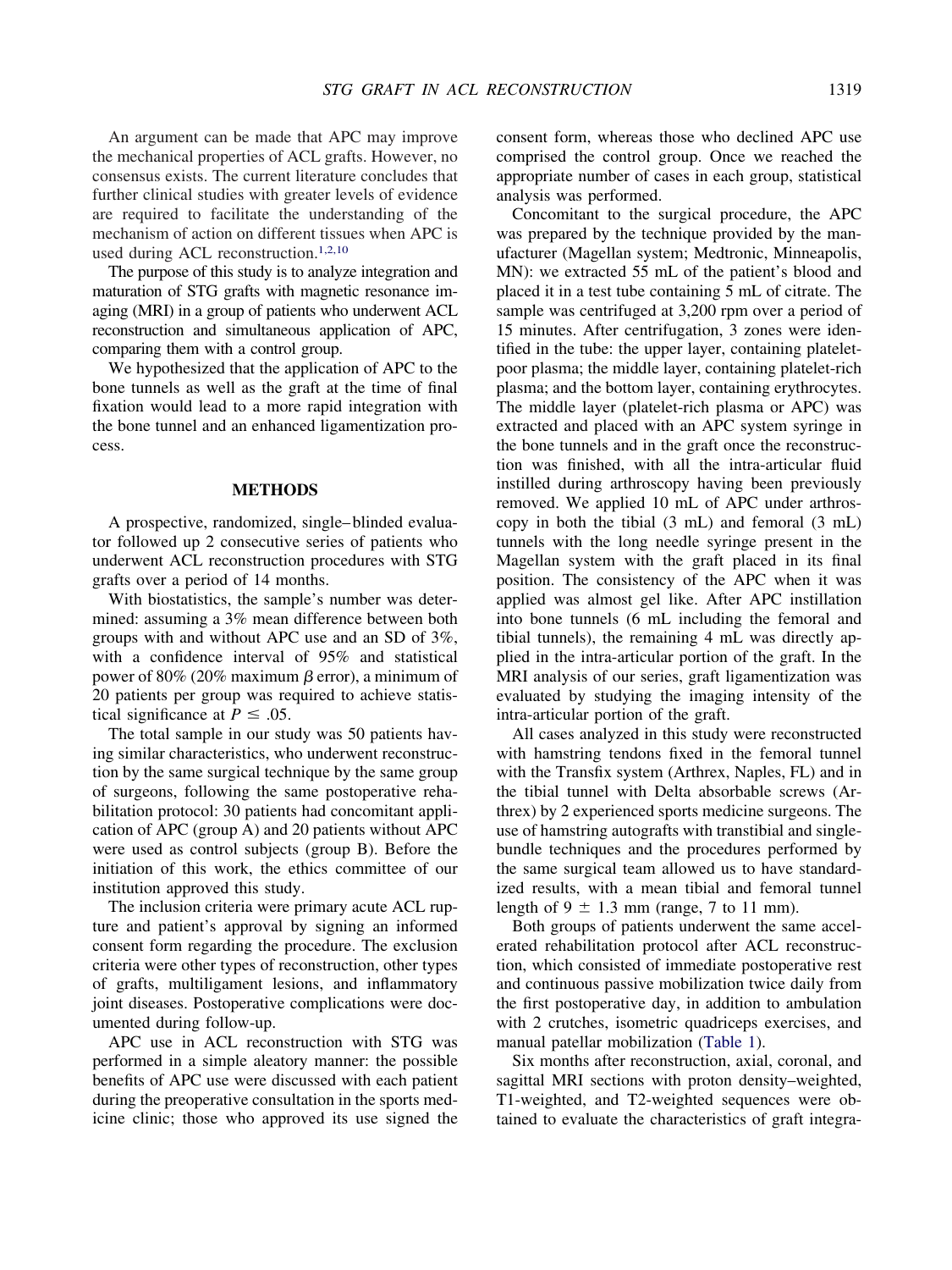An argument can be made that APC may improve the mechanical properties of ACL grafts. However, no consensus exists. The current literature concludes that further clinical studies with greater levels of evidence are required to facilitate the understanding of the mechanism of action on different tissues when APC is used during ACL reconstruction[.1,2,10](#page-7-0)

The purpose of this study is to analyze integration and maturation of STG grafts with magnetic resonance imaging (MRI) in a group of patients who underwent ACL reconstruction and simultaneous application of APC, comparing them with a control group.

We hypothesized that the application of APC to the bone tunnels as well as the graft at the time of final fixation would lead to a more rapid integration with the bone tunnel and an enhanced ligamentization process.

### **METHODS**

A prospective, randomized, single–blinded evaluator followed up 2 consecutive series of patients who underwent ACL reconstruction procedures with STG grafts over a period of 14 months.

With biostatistics, the sample's number was determined: assuming a 3% mean difference between both groups with and without APC use and an SD of 3%, with a confidence interval of 95% and statistical power of 80% (20% maximum  $\beta$  error), a minimum of 20 patients per group was required to achieve statistical significance at  $P \leq .05$ .

The total sample in our study was 50 patients having similar characteristics, who underwent reconstruction by the same surgical technique by the same group of surgeons, following the same postoperative rehabilitation protocol: 30 patients had concomitant application of APC (group A) and 20 patients without APC were used as control subjects (group B). Before the initiation of this work, the ethics committee of our institution approved this study.

The inclusion criteria were primary acute ACL rupture and patient's approval by signing an informed consent form regarding the procedure. The exclusion criteria were other types of reconstruction, other types of grafts, multiligament lesions, and inflammatory joint diseases. Postoperative complications were documented during follow-up.

APC use in ACL reconstruction with STG was performed in a simple aleatory manner: the possible benefits of APC use were discussed with each patient during the preoperative consultation in the sports medicine clinic; those who approved its use signed the consent form, whereas those who declined APC use comprised the control group. Once we reached the appropriate number of cases in each group, statistical analysis was performed.

Concomitant to the surgical procedure, the APC was prepared by the technique provided by the manufacturer (Magellan system; Medtronic, Minneapolis, MN): we extracted 55 mL of the patient's blood and placed it in a test tube containing 5 mL of citrate. The sample was centrifuged at 3,200 rpm over a period of 15 minutes. After centrifugation, 3 zones were identified in the tube: the upper layer, containing plateletpoor plasma; the middle layer, containing platelet-rich plasma; and the bottom layer, containing erythrocytes. The middle layer (platelet-rich plasma or APC) was extracted and placed with an APC system syringe in the bone tunnels and in the graft once the reconstruction was finished, with all the intra-articular fluid instilled during arthroscopy having been previously removed. We applied 10 mL of APC under arthroscopy in both the tibial (3 mL) and femoral (3 mL) tunnels with the long needle syringe present in the Magellan system with the graft placed in its final position. The consistency of the APC when it was applied was almost gel like. After APC instillation into bone tunnels (6 mL including the femoral and tibial tunnels), the remaining 4 mL was directly applied in the intra-articular portion of the graft. In the MRI analysis of our series, graft ligamentization was evaluated by studying the imaging intensity of the intra-articular portion of the graft.

All cases analyzed in this study were reconstructed with hamstring tendons fixed in the femoral tunnel with the Transfix system (Arthrex, Naples, FL) and in the tibial tunnel with Delta absorbable screws (Arthrex) by 2 experienced sports medicine surgeons. The use of hamstring autografts with transtibial and singlebundle techniques and the procedures performed by the same surgical team allowed us to have standardized results, with a mean tibial and femoral tunnel length of  $9 \pm 1.3$  mm (range, 7 to 11 mm).

Both groups of patients underwent the same accelerated rehabilitation protocol after ACL reconstruction, which consisted of immediate postoperative rest and continuous passive mobilization twice daily from the first postoperative day, in addition to ambulation with 2 crutches, isometric quadriceps exercises, and manual patellar mobilization [\(Table 1\)](#page-3-0).

Six months after reconstruction, axial, coronal, and sagittal MRI sections with proton density–weighted, T1-weighted, and T2-weighted sequences were obtained to evaluate the characteristics of graft integra-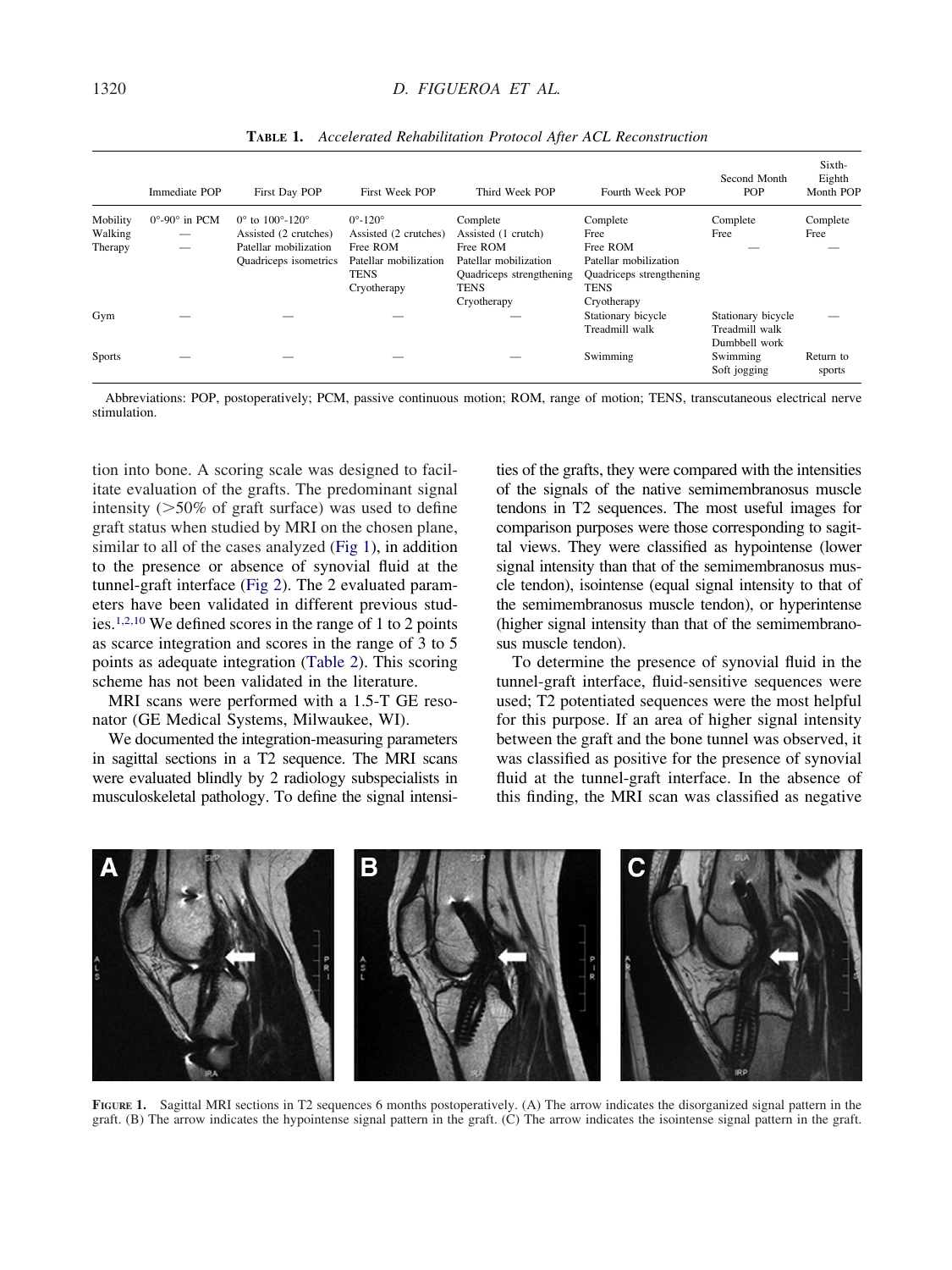<span id="page-3-0"></span>

|               | Immediate POP                     | First Day POP                                  | First Week POP              | Third Week POP           | Fourth Week POP          | Second Month<br><b>POP</b> | Sixth-<br>Eighth<br>Month POP |
|---------------|-----------------------------------|------------------------------------------------|-----------------------------|--------------------------|--------------------------|----------------------------|-------------------------------|
| Mobility      | $0^{\circ}$ -90 $^{\circ}$ in PCM | $0^{\circ}$ to $100^{\circ}$ -120 <sup>°</sup> | $0^{\circ}$ -120 $^{\circ}$ | Complete                 | Complete                 | Complete                   | Complete                      |
| Walking       | _                                 | Assisted (2 crutches)                          | Assisted (2 crutches)       | Assisted (1 crutch)      | Free                     | Free                       | Free                          |
| Therapy       | –                                 | Patellar mobilization                          | Free ROM                    | Free ROM                 | Free ROM                 |                            |                               |
|               |                                   | Quadriceps isometrics                          | Patellar mobilization       | Patellar mobilization    | Patellar mobilization    |                            |                               |
|               |                                   |                                                | <b>TENS</b>                 | Quadriceps strengthening | Quadriceps strengthening |                            |                               |
|               |                                   |                                                | Cryotherapy                 | <b>TENS</b>              | <b>TENS</b>              |                            |                               |
|               |                                   |                                                |                             | Cryotherapy              | Cryotherapy              |                            |                               |
| Gym           |                                   |                                                |                             |                          | Stationary bicycle       | Stationary bicycle         |                               |
|               |                                   |                                                |                             |                          | Treadmill walk           | Treadmill walk             |                               |
|               |                                   |                                                |                             |                          |                          | Dumbbell work              |                               |
| <b>Sports</b> |                                   |                                                |                             |                          | Swimming                 | Swimming                   | Return to                     |
|               |                                   |                                                |                             |                          |                          | Soft jogging               | sports                        |

**TABLE 1.** *Accelerated Rehabilitation Protocol After ACL Reconstruction*

Abbreviations: POP, postoperatively; PCM, passive continuous motion; ROM, range of motion; TENS, transcutaneous electrical nerve stimulation.

tion into bone. A scoring scale was designed to facilitate evaluation of the grafts. The predominant signal intensity  $(0.50\% \text{ of } \text{graff} \text{ surface})$  was used to define graft status when studied by MRI on the chosen plane, similar to all of the cases analyzed (Fig 1), in addition to the presence or absence of synovial fluid at the tunnel-graft interface [\(Fig 2\)](#page-4-0). The 2 evaluated parameters have been validated in different previous studies[.1,2,10](#page-7-0) We defined scores in the range of 1 to 2 points as scarce integration and scores in the range of 3 to 5 points as adequate integration [\(Table 2\)](#page-4-0). This scoring scheme has not been validated in the literature.

MRI scans were performed with a 1.5-T GE resonator (GE Medical Systems, Milwaukee, WI).

We documented the integration-measuring parameters in sagittal sections in a T2 sequence. The MRI scans were evaluated blindly by 2 radiology subspecialists in musculoskeletal pathology. To define the signal intensities of the grafts, they were compared with the intensities of the signals of the native semimembranosus muscle tendons in T2 sequences. The most useful images for comparison purposes were those corresponding to sagittal views. They were classified as hypointense (lower signal intensity than that of the semimembranosus muscle tendon), isointense (equal signal intensity to that of the semimembranosus muscle tendon), or hyperintense (higher signal intensity than that of the semimembranosus muscle tendon).

To determine the presence of synovial fluid in the tunnel-graft interface, fluid-sensitive sequences were used; T2 potentiated sequences were the most helpful for this purpose. If an area of higher signal intensity between the graft and the bone tunnel was observed, it was classified as positive for the presence of synovial fluid at the tunnel-graft interface. In the absence of this finding, the MRI scan was classified as negative



**FIGURE 1.** Sagittal MRI sections in T2 sequences 6 months postoperatively. (A) The arrow indicates the disorganized signal pattern in the graft. (B) The arrow indicates the hypointense signal pattern in the graft. (C) The arrow indicates the isointense signal pattern in the graft.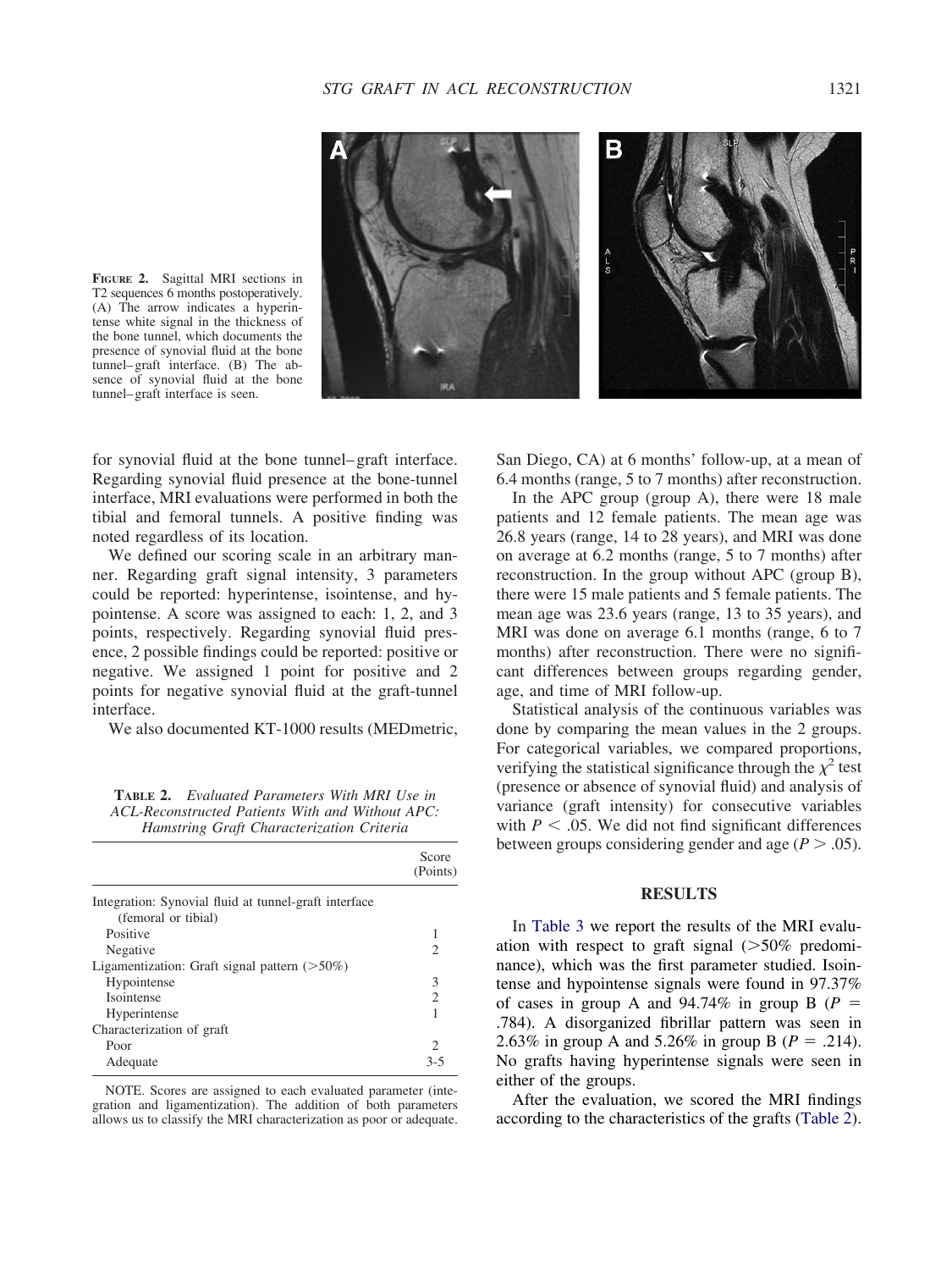

<span id="page-4-0"></span>**FIGURE 2.** Sagittal MRI sections in T2 sequences 6 months postoperatively. (A) The arrow indicates a hyperintense white signal in the thickness of the bone tunnel, which documents the presence of synovial fluid at the bone tunnel–graft interface. (B) The absence of synovial fluid at the bone tunnel–graft interface is seen.

for synovial fluid at the bone tunnel–graft interface. Regarding synovial fluid presence at the bone-tunnel interface, MRI evaluations were performed in both the tibial and femoral tunnels. A positive finding was noted regardless of its location.

We defined our scoring scale in an arbitrary manner. Regarding graft signal intensity, 3 parameters could be reported: hyperintense, isointense, and hypointense. A score was assigned to each: 1, 2, and 3 points, respectively. Regarding synovial fluid presence, 2 possible findings could be reported: positive or negative. We assigned 1 point for positive and 2 points for negative synovial fluid at the graft-tunnel interface.

We also documented KT-1000 results (MEDmetric,

| <b>TABLE 2.</b> Evaluated Parameters With MRI Use in |                                           |  |  |
|------------------------------------------------------|-------------------------------------------|--|--|
| ACL-Reconstructed Patients With and Without APC:     |                                           |  |  |
|                                                      | Hamstring Graft Characterization Criteria |  |  |

|                                                                              | Score<br>(Points) |
|------------------------------------------------------------------------------|-------------------|
| Integration: Synovial fluid at tunnel-graft interface<br>(femoral or tibial) |                   |
| Positive                                                                     | 1                 |
| Negative                                                                     | 2                 |
| Ligamentization: Graft signal pattern $($ >50%)                              |                   |
| Hypointense                                                                  | 3                 |
| Isointense                                                                   | $\mathfrak{D}$    |
| Hyperintense                                                                 |                   |
| Characterization of graft                                                    |                   |
| Poor                                                                         | 2                 |
| Adequate                                                                     | $3 - 5$           |

NOTE. Scores are assigned to each evaluated parameter (integration and ligamentization). The addition of both parameters allows us to classify the MRI characterization as poor or adequate. San Diego, CA) at 6 months' follow-up, at a mean of 6.4 months (range, 5 to 7 months) after reconstruction.

In the APC group (group A), there were 18 male patients and 12 female patients. The mean age was 26.8 years (range, 14 to 28 years), and MRI was done on average at 6.2 months (range, 5 to 7 months) after reconstruction. In the group without APC (group B), there were 15 male patients and 5 female patients. The mean age was 23.6 years (range, 13 to 35 years), and MRI was done on average 6.1 months (range, 6 to 7 months) after reconstruction. There were no significant differences between groups regarding gender, age, and time of MRI follow-up.

Statistical analysis of the continuous variables was done by comparing the mean values in the 2 groups. For categorical variables, we compared proportions, verifying the statistical significance through the  $\chi^2$  test (presence or absence of synovial fluid) and analysis of variance (graft intensity) for consecutive variables with  $P < .05$ . We did not find significant differences between groups considering gender and age  $(P > .05)$ .

## **RESULTS**

In [Table 3](#page-5-0) we report the results of the MRI evaluation with respect to graft signal  $(>50\%$  predominance), which was the first parameter studied. Isointense and hypointense signals were found in 97.37% of cases in group A and  $94.74\%$  in group B ( $P =$ .784). A disorganized fibrillar pattern was seen in 2.63% in group A and 5.26% in group B ( $P = .214$ ). No grafts having hyperintense signals were seen in either of the groups.

After the evaluation, we scored the MRI findings according to the characteristics of the grafts (Table 2).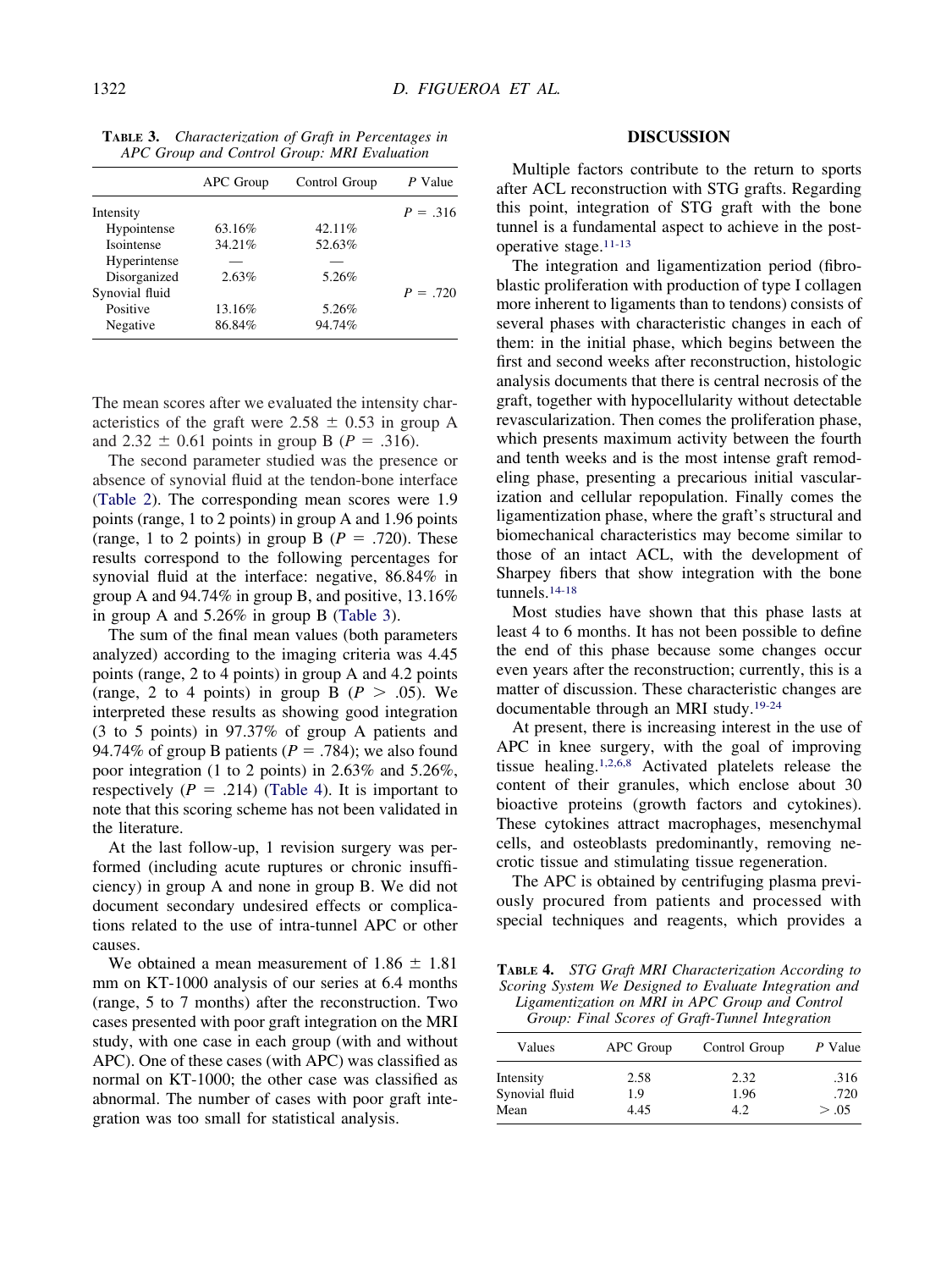|                | APC Group | Control Group | P Value    |
|----------------|-----------|---------------|------------|
| Intensity      |           |               | $P = .316$ |
| Hypointense    | 63.16%    | 42.11%        |            |
| Isointense     | 34.21%    | 52.63%        |            |
| Hyperintense   |           |               |            |
| Disorganized   | 2.63%     | 5.26%         |            |
| Synovial fluid |           |               | $P = .720$ |
| Positive       | 13.16%    | 5.26%         |            |
| Negative       | 86.84%    | 94.74%        |            |

<span id="page-5-0"></span>**TABLE 3.** *Characterization of Graft in Percentages in APC Group and Control Group: MRI Evaluation*

The mean scores after we evaluated the intensity characteristics of the graft were  $2.58 \pm 0.53$  in group A and 2.32  $\pm$  0.61 points in group B (*P* = .316).

The second parameter studied was the presence or absence of synovial fluid at the tendon-bone interface [\(Table 2\)](#page-4-0). The corresponding mean scores were 1.9 points (range, 1 to 2 points) in group A and 1.96 points (range, 1 to 2 points) in group B ( $P = .720$ ). These results correspond to the following percentages for synovial fluid at the interface: negative, 86.84% in group A and 94.74% in group B, and positive, 13.16% in group A and 5.26% in group B (Table 3).

The sum of the final mean values (both parameters analyzed) according to the imaging criteria was 4.45 points (range, 2 to 4 points) in group A and 4.2 points (range, 2 to 4 points) in group B  $(P > .05)$ . We interpreted these results as showing good integration (3 to 5 points) in 97.37% of group A patients and 94.74% of group B patients ( $P = .784$ ); we also found poor integration (1 to 2 points) in 2.63% and 5.26%, respectively  $(P = .214)$  (Table 4). It is important to note that this scoring scheme has not been validated in the literature.

At the last follow-up, 1 revision surgery was performed (including acute ruptures or chronic insufficiency) in group A and none in group B. We did not document secondary undesired effects or complications related to the use of intra-tunnel APC or other causes.

We obtained a mean measurement of  $1.86 \pm 1.81$ mm on KT-1000 analysis of our series at 6.4 months (range, 5 to 7 months) after the reconstruction. Two cases presented with poor graft integration on the MRI study, with one case in each group (with and without APC). One of these cases (with APC) was classified as normal on KT-1000; the other case was classified as abnormal. The number of cases with poor graft integration was too small for statistical analysis.

## **DISCUSSION**

Multiple factors contribute to the return to sports after ACL reconstruction with STG grafts. Regarding this point, integration of STG graft with the bone tunnel is a fundamental aspect to achieve in the postoperative stage[.11-13](#page-8-0)

The integration and ligamentization period (fibroblastic proliferation with production of type I collagen more inherent to ligaments than to tendons) consists of several phases with characteristic changes in each of them: in the initial phase, which begins between the first and second weeks after reconstruction, histologic analysis documents that there is central necrosis of the graft, together with hypocellularity without detectable revascularization. Then comes the proliferation phase, which presents maximum activity between the fourth and tenth weeks and is the most intense graft remodeling phase, presenting a precarious initial vascularization and cellular repopulation. Finally comes the ligamentization phase, where the graft's structural and biomechanical characteristics may become similar to those of an intact ACL, with the development of Sharpey fibers that show integration with the bone tunnels[.14-18](#page-8-0)

Most studies have shown that this phase lasts at least 4 to 6 months. It has not been possible to define the end of this phase because some changes occur even years after the reconstruction; currently, this is a matter of discussion. These characteristic changes are documentable through an MRI study[.19-24](#page-8-0)

At present, there is increasing interest in the use of APC in knee surgery, with the goal of improving tissue healing[.1,2,6,8](#page-7-0) Activated platelets release the content of their granules, which enclose about 30 bioactive proteins (growth factors and cytokines). These cytokines attract macrophages, mesenchymal cells, and osteoblasts predominantly, removing necrotic tissue and stimulating tissue regeneration.

The APC is obtained by centrifuging plasma previously procured from patients and processed with special techniques and reagents, which provides a

**TABLE 4.** *STG Graft MRI Characterization According to Scoring System We Designed to Evaluate Integration and Ligamentization on MRI in APC Group and Control Group: Final Scores of Graft-Tunnel Integration*

| Values         | APC Group | Control Group | P Value |
|----------------|-----------|---------------|---------|
| Intensity      | 2.58      | 2.32          | .316    |
| Synovial fluid | 1.9       | 1.96          | .720    |
| Mean           | 4.45      | 4.2           | > .05   |
|                |           |               |         |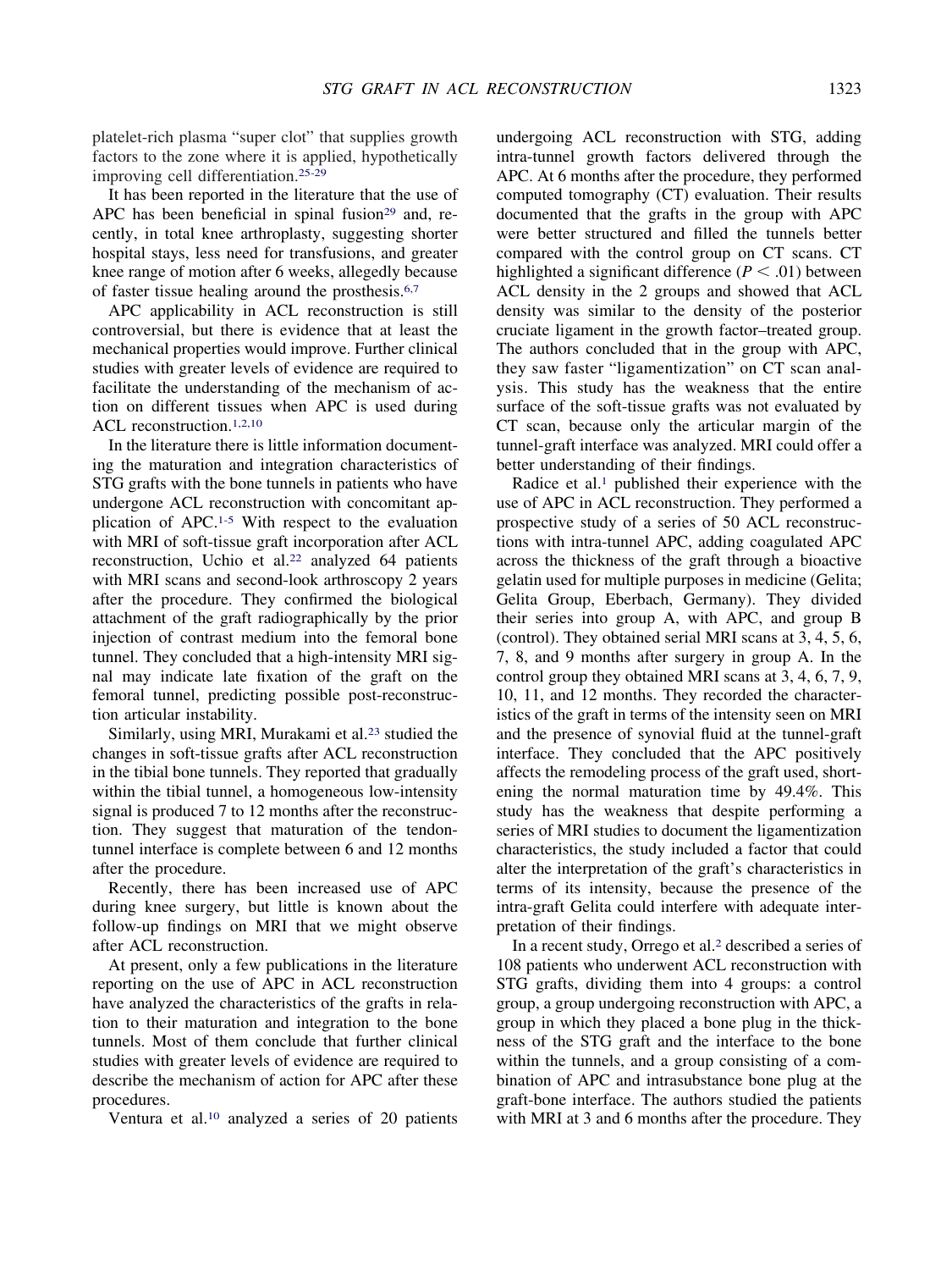platelet-rich plasma "super clot" that supplies growth factors to the zone where it is applied, hypothetically improving cell differentiation[.25-29](#page-8-0)

It has been reported in the literature that the use of APC has been beneficial in spinal fusion<sup>29</sup> and, recently, in total knee arthroplasty, suggesting shorter hospital stays, less need for transfusions, and greater knee range of motion after 6 weeks, allegedly because of faster tissue healing around the prosthesis[.6,7](#page-8-0)

APC applicability in ACL reconstruction is still controversial, but there is evidence that at least the mechanical properties would improve. Further clinical studies with greater levels of evidence are required to facilitate the understanding of the mechanism of action on different tissues when APC is used during ACL reconstruction[.1,2,10](#page-7-0)

In the literature there is little information documenting the maturation and integration characteristics of STG grafts with the bone tunnels in patients who have undergone ACL reconstruction with concomitant application of APC[.1-5](#page-7-0) With respect to the evaluation with MRI of soft-tissue graft incorporation after ACL reconstruction, Uchio et al.<sup>22</sup> analyzed 64 patients with MRI scans and second-look arthroscopy 2 years after the procedure. They confirmed the biological attachment of the graft radiographically by the prior injection of contrast medium into the femoral bone tunnel. They concluded that a high-intensity MRI signal may indicate late fixation of the graft on the femoral tunnel, predicting possible post-reconstruction articular instability.

Similarly, using MRI, Murakami et al.<sup>23</sup> studied the changes in soft-tissue grafts after ACL reconstruction in the tibial bone tunnels. They reported that gradually within the tibial tunnel, a homogeneous low-intensity signal is produced 7 to 12 months after the reconstruction. They suggest that maturation of the tendontunnel interface is complete between 6 and 12 months after the procedure.

Recently, there has been increased use of APC during knee surgery, but little is known about the follow-up findings on MRI that we might observe after ACL reconstruction.

At present, only a few publications in the literature reporting on the use of APC in ACL reconstruction have analyzed the characteristics of the grafts in relation to their maturation and integration to the bone tunnels. Most of them conclude that further clinical studies with greater levels of evidence are required to describe the mechanism of action for APC after these procedures.

Ventura et al[.10](#page-8-0) analyzed a series of 20 patients

undergoing ACL reconstruction with STG, adding intra-tunnel growth factors delivered through the APC. At 6 months after the procedure, they performed computed tomography (CT) evaluation. Their results documented that the grafts in the group with APC were better structured and filled the tunnels better compared with the control group on CT scans. CT highlighted a significant difference  $(P < .01)$  between ACL density in the 2 groups and showed that ACL density was similar to the density of the posterior cruciate ligament in the growth factor–treated group. The authors concluded that in the group with APC, they saw faster "ligamentization" on CT scan analysis. This study has the weakness that the entire surface of the soft-tissue grafts was not evaluated by CT scan, because only the articular margin of the tunnel-graft interface was analyzed. MRI could offer a better understanding of their findings.

Radice et al.<sup>1</sup> published their experience with the use of APC in ACL reconstruction. They performed a prospective study of a series of 50 ACL reconstructions with intra-tunnel APC, adding coagulated APC across the thickness of the graft through a bioactive gelatin used for multiple purposes in medicine (Gelita; Gelita Group, Eberbach, Germany). They divided their series into group A, with APC, and group B (control). They obtained serial MRI scans at 3, 4, 5, 6, 7, 8, and 9 months after surgery in group A. In the control group they obtained MRI scans at 3, 4, 6, 7, 9, 10, 11, and 12 months. They recorded the characteristics of the graft in terms of the intensity seen on MRI and the presence of synovial fluid at the tunnel-graft interface. They concluded that the APC positively affects the remodeling process of the graft used, shortening the normal maturation time by 49.4%. This study has the weakness that despite performing a series of MRI studies to document the ligamentization characteristics, the study included a factor that could alter the interpretation of the graft's characteristics in terms of its intensity, because the presence of the intra-graft Gelita could interfere with adequate interpretation of their findings.

In a recent study, Orrego et al[.2](#page-8-0) described a series of 108 patients who underwent ACL reconstruction with STG grafts, dividing them into 4 groups: a control group, a group undergoing reconstruction with APC, a group in which they placed a bone plug in the thickness of the STG graft and the interface to the bone within the tunnels, and a group consisting of a combination of APC and intrasubstance bone plug at the graft-bone interface. The authors studied the patients with MRI at 3 and 6 months after the procedure. They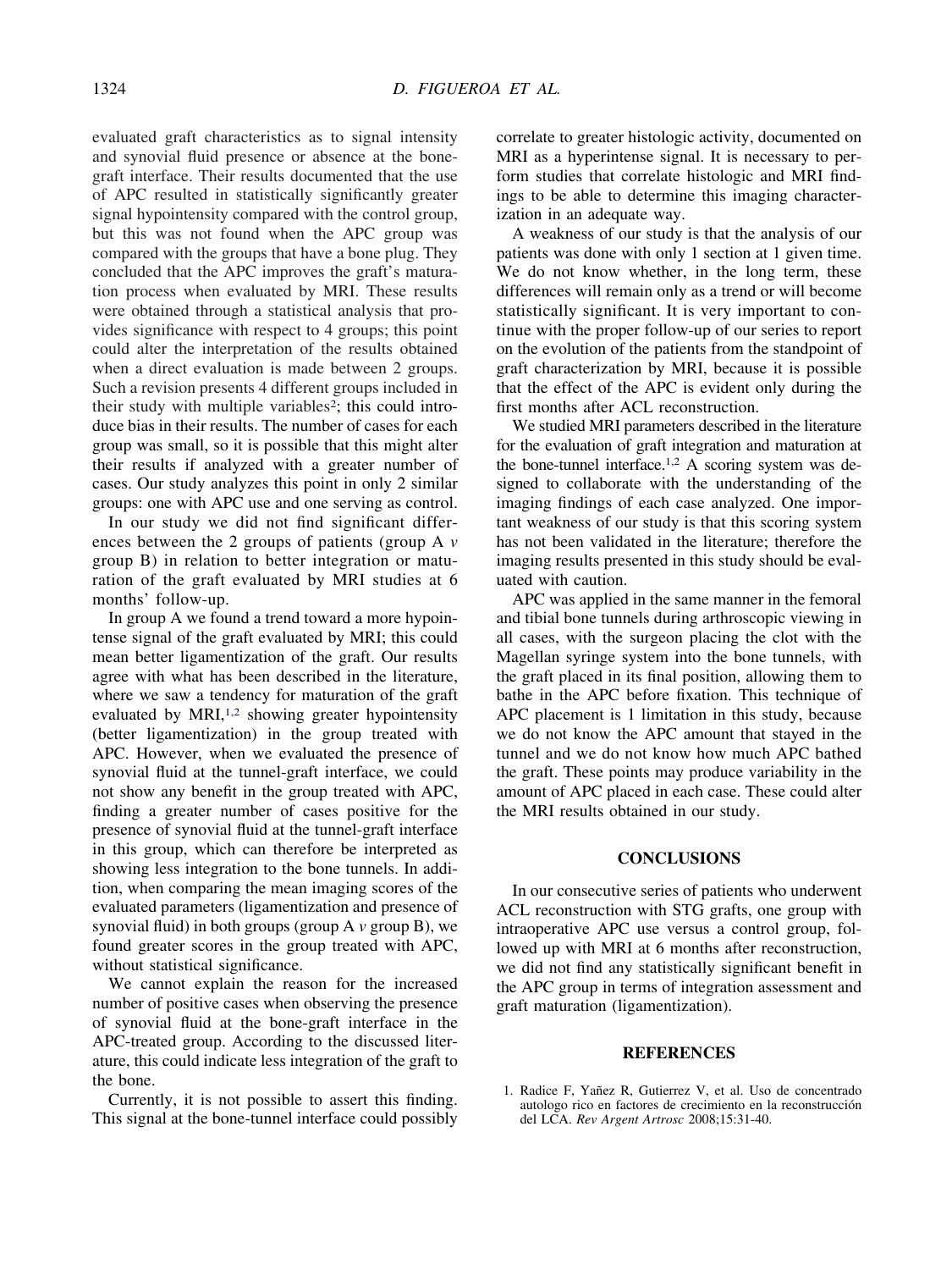<span id="page-7-0"></span>evaluated graft characteristics as to signal intensity and synovial fluid presence or absence at the bonegraft interface. Their results documented that the use of APC resulted in statistically significantly greater signal hypointensity compared with the control group, but this was not found when the APC group was compared with the groups that have a bone plug. They concluded that the APC improves the graft's maturation process when evaluated by MRI. These results were obtained through a statistical analysis that provides significance with respect to 4 groups; this point could alter the interpretation of the results obtained when a direct evaluation is made between 2 groups. Such a revision presents 4 different groups included in their study with multiple variables<sup>2</sup>; this could introduce bias in their results. The number of cases for each group was small, so it is possible that this might alter their results if analyzed with a greater number of cases. Our study analyzes this point in only 2 similar groups: one with APC use and one serving as control.

In our study we did not find significant differences between the 2 groups of patients (group A *v* group B) in relation to better integration or maturation of the graft evaluated by MRI studies at 6 months' follow-up.

In group A we found a trend toward a more hypointense signal of the graft evaluated by MRI; this could mean better ligamentization of the graft. Our results agree with what has been described in the literature, where we saw a tendency for maturation of the graft evaluated by MRI,<sup>1,2</sup> showing greater hypointensity (better ligamentization) in the group treated with APC. However, when we evaluated the presence of synovial fluid at the tunnel-graft interface, we could not show any benefit in the group treated with APC, finding a greater number of cases positive for the presence of synovial fluid at the tunnel-graft interface in this group, which can therefore be interpreted as showing less integration to the bone tunnels. In addition, when comparing the mean imaging scores of the evaluated parameters (ligamentization and presence of synovial fluid) in both groups (group A *v* group B), we found greater scores in the group treated with APC, without statistical significance.

We cannot explain the reason for the increased number of positive cases when observing the presence of synovial fluid at the bone-graft interface in the APC-treated group. According to the discussed literature, this could indicate less integration of the graft to the bone.

Currently, it is not possible to assert this finding. This signal at the bone-tunnel interface could possibly correlate to greater histologic activity, documented on MRI as a hyperintense signal. It is necessary to perform studies that correlate histologic and MRI findings to be able to determine this imaging characterization in an adequate way.

A weakness of our study is that the analysis of our patients was done with only 1 section at 1 given time. We do not know whether, in the long term, these differences will remain only as a trend or will become statistically significant. It is very important to continue with the proper follow-up of our series to report on the evolution of the patients from the standpoint of graft characterization by MRI, because it is possible that the effect of the APC is evident only during the first months after ACL reconstruction.

We studied MRI parameters described in the literature for the evaluation of graft integration and maturation at the bone-tunnel interface.<sup>1,2</sup> A scoring system was designed to collaborate with the understanding of the imaging findings of each case analyzed. One important weakness of our study is that this scoring system has not been validated in the literature; therefore the imaging results presented in this study should be evaluated with caution.

APC was applied in the same manner in the femoral and tibial bone tunnels during arthroscopic viewing in all cases, with the surgeon placing the clot with the Magellan syringe system into the bone tunnels, with the graft placed in its final position, allowing them to bathe in the APC before fixation. This technique of APC placement is 1 limitation in this study, because we do not know the APC amount that stayed in the tunnel and we do not know how much APC bathed the graft. These points may produce variability in the amount of APC placed in each case. These could alter the MRI results obtained in our study.

## **CONCLUSIONS**

In our consecutive series of patients who underwent ACL reconstruction with STG grafts, one group with intraoperative APC use versus a control group, followed up with MRI at 6 months after reconstruction, we did not find any statistically significant benefit in the APC group in terms of integration assessment and graft maturation (ligamentization).

#### **REFERENCES**

1. Radice F, Yañez R, Gutierrez V, et al. Uso de concentrado autologo rico en factores de crecimiento en la reconstrucción del LCA. *Rev Argent Artrosc* 2008;15:31-40.